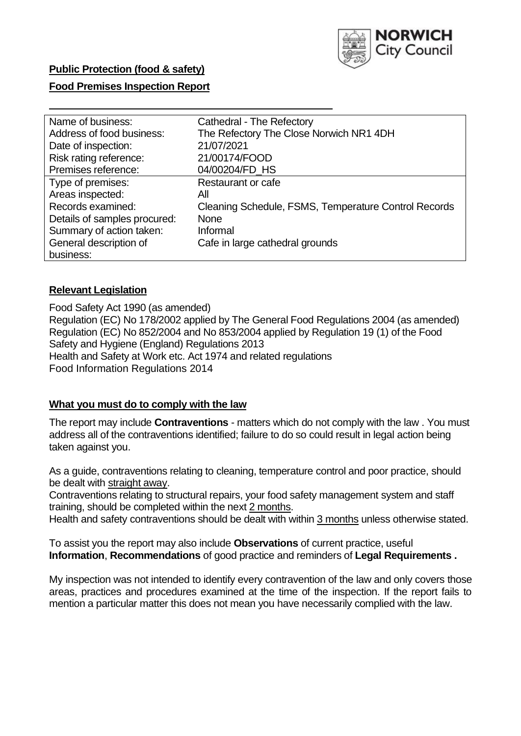

# **Public Protection (food & safety)**

### **Food Premises Inspection Report**

| Name of business:            | Cathedral - The Refectory                            |
|------------------------------|------------------------------------------------------|
| Address of food business:    | The Refectory The Close Norwich NR1 4DH              |
| Date of inspection:          | 21/07/2021                                           |
| Risk rating reference:       | 21/00174/FOOD                                        |
| Premises reference:          | 04/00204/FD HS                                       |
| Type of premises:            | Restaurant or cafe                                   |
| Areas inspected:             | All                                                  |
| Records examined:            | Cleaning Schedule, FSMS, Temperature Control Records |
| Details of samples procured: | <b>None</b>                                          |
| Summary of action taken:     | Informal                                             |
| General description of       | Cafe in large cathedral grounds                      |
| business:                    |                                                      |

### **Relevant Legislation**

 Food Safety Act 1990 (as amended) Regulation (EC) No 178/2002 applied by The General Food Regulations 2004 (as amended) Regulation (EC) No 852/2004 and No 853/2004 applied by Regulation 19 (1) of the Food Safety and Hygiene (England) Regulations 2013 Health and Safety at Work etc. Act 1974 and related regulations Food Information Regulations 2014

#### **What you must do to comply with the law**

 The report may include **Contraventions** - matters which do not comply with the law . You must address all of the contraventions identified; failure to do so could result in legal action being taken against you.

 As a guide, contraventions relating to cleaning, temperature control and poor practice, should be dealt with straight away.

 Contraventions relating to structural repairs, your food safety management system and staff training, should be completed within the next 2 months.

Health and safety contraventions should be dealt with within 3 months unless otherwise stated.

 To assist you the report may also include **Observations** of current practice, useful **Information**, **Recommendations** of good practice and reminders of **Legal Requirements .** 

 My inspection was not intended to identify every contravention of the law and only covers those areas, practices and procedures examined at the time of the inspection. If the report fails to mention a particular matter this does not mean you have necessarily complied with the law.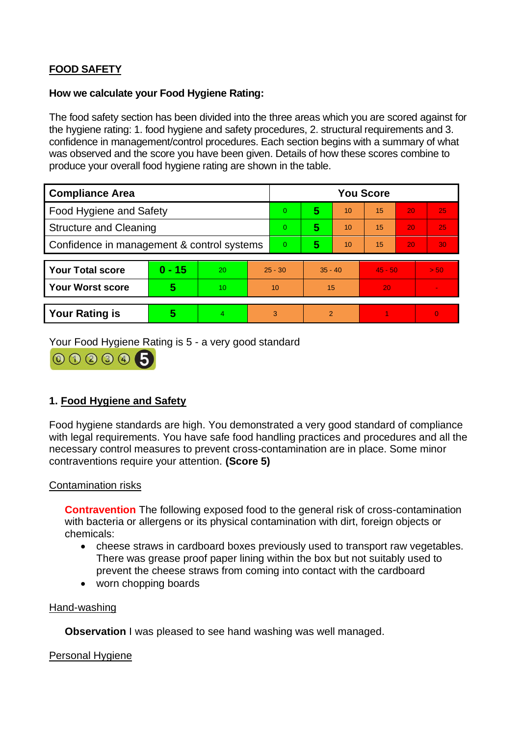# **FOOD SAFETY**

# **How we calculate your Food Hygiene Rating:**

 The food safety section has been divided into the three areas which you are scored against for the hygiene rating: 1. food hygiene and safety procedures, 2. structural requirements and 3. confidence in management/control procedures. Each section begins with a summary of what was observed and the score you have been given. Details of how these scores combine to produce your overall food hygiene rating are shown in the table.

| <b>Compliance Area</b>                     |          |           |           | <b>You Score</b> |           |                |           |    |                |  |  |
|--------------------------------------------|----------|-----------|-----------|------------------|-----------|----------------|-----------|----|----------------|--|--|
| <b>Food Hygiene and Safety</b>             |          |           |           | $\overline{0}$   | 5         | 10             | 15        | 20 | 25             |  |  |
| <b>Structure and Cleaning</b>              |          |           | $\Omega$  | 5                | 10        | 15             | 20        | 25 |                |  |  |
| Confidence in management & control systems |          |           | $\Omega$  | 5                | 10        | 15             | 20        | 30 |                |  |  |
|                                            |          |           |           |                  |           |                |           |    |                |  |  |
| <b>Your Total score</b>                    | $0 - 15$ | <b>20</b> | $25 - 30$ |                  | $35 - 40$ |                | $45 - 50$ |    | > 50           |  |  |
| <b>Your Worst score</b>                    | 5        | 10        | 10        |                  | 15        |                | 20        |    | $\blacksquare$ |  |  |
|                                            |          |           |           |                  |           |                |           |    |                |  |  |
| <b>Your Rating is</b>                      | 5        | 4.        |           | 3                |           | $\overline{2}$ |           |    | $\overline{0}$ |  |  |

Your Food Hygiene Rating is 5 - a very good standard



# **1. Food Hygiene and Safety**

 with legal requirements. You have safe food handling practices and procedures and all the Food hygiene standards are high. You demonstrated a very good standard of compliance necessary control measures to prevent cross-contamination are in place. Some minor contraventions require your attention. **(Score 5)** 

# Contamination risks

 with bacteria or allergens or its physical contamination with dirt, foreign objects or **Contravention** The following exposed food to the general risk of cross-contamination chemicals:

- cheese straws in cardboard boxes previously used to transport raw vegetables. There was grease proof paper lining within the box but not suitably used to prevent the cheese straws from coming into contact with the cardboard
- worn chopping boards

### Hand-washing

**Observation** I was pleased to see hand washing was well managed.

#### Personal Hygiene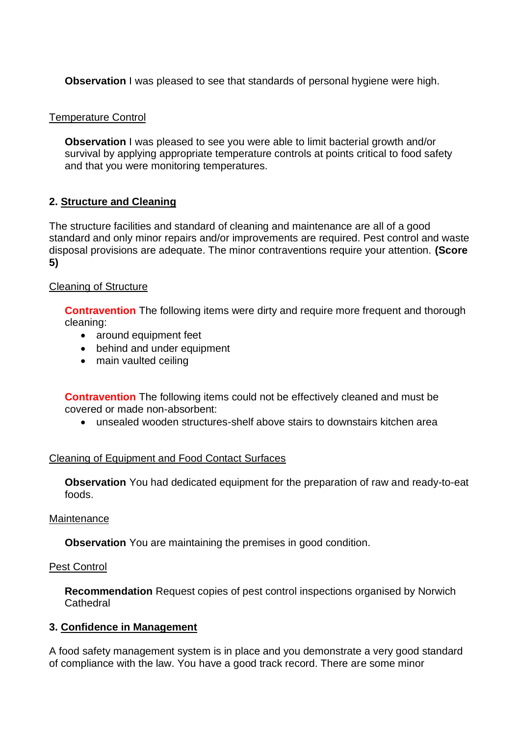**Observation** I was pleased to see that standards of personal hygiene were high.

# Temperature Control

**Observation** I was pleased to see you were able to limit bacterial growth and/or survival by applying appropriate temperature controls at points critical to food safety and that you were monitoring temperatures.

# **2. Structure and Cleaning**

The structure facilities and standard of cleaning and maintenance are all of a good standard and only minor repairs and/or improvements are required. Pest control and waste disposal provisions are adequate. The minor contraventions require your attention. **(Score 5)** 

# Cleaning of Structure

**Contravention** The following items were dirty and require more frequent and thorough cleaning:

- around equipment feet
- behind and under equipment
- main vaulted ceiling

**Contravention** The following items could not be effectively cleaned and must be covered or made non-absorbent:

• unsealed wooden structures-shelf above stairs to downstairs kitchen area

# Cleaning of Equipment and Food Contact Surfaces

**Observation** You had dedicated equipment for the preparation of raw and ready-to-eat foods.

# Maintenance

**Observation** You are maintaining the premises in good condition.

# **Pest Control**

 **Recommendation** Request copies of pest control inspections organised by Norwich **Cathedral** 

# **3. Confidence in Management**

 of compliance with the law. You have a good track record. There are some minor A food safety management system is in place and you demonstrate a very good standard